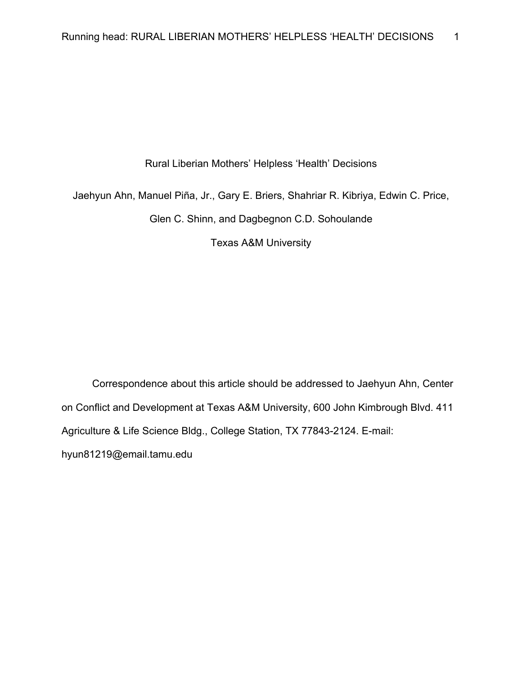### Rural Liberian Mothers' Helpless 'Health' Decisions

Jaehyun Ahn, Manuel Piña, Jr., Gary E. Briers, Shahriar R. Kibriya, Edwin C. Price,

Glen C. Shinn, and Dagbegnon C.D. Sohoulande

Texas A&M University

Correspondence about this article should be addressed to Jaehyun Ahn, Center on Conflict and Development at Texas A&M University, 600 John Kimbrough Blvd. 411 Agriculture & Life Science Bldg., College Station, TX 77843-2124. E-mail: hyun81219@email.tamu.edu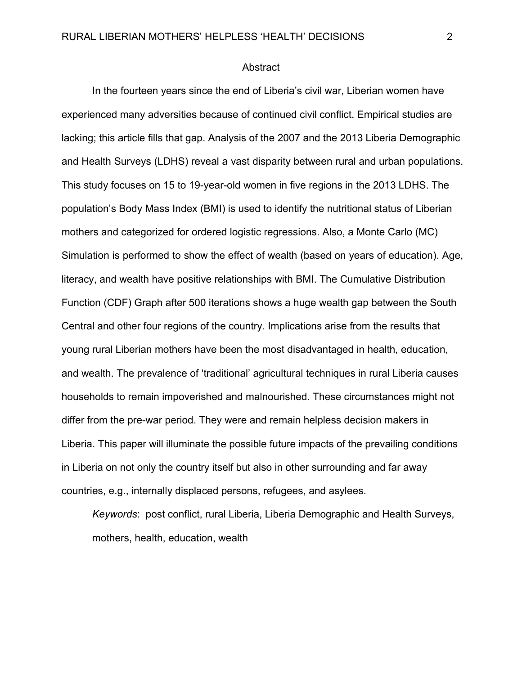#### Abstract

In the fourteen years since the end of Liberia's civil war, Liberian women have experienced many adversities because of continued civil conflict. Empirical studies are lacking; this article fills that gap. Analysis of the 2007 and the 2013 Liberia Demographic and Health Surveys (LDHS) reveal a vast disparity between rural and urban populations. This study focuses on 15 to 19-year-old women in five regions in the 2013 LDHS. The population's Body Mass Index (BMI) is used to identify the nutritional status of Liberian mothers and categorized for ordered logistic regressions. Also, a Monte Carlo (MC) Simulation is performed to show the effect of wealth (based on years of education). Age, literacy, and wealth have positive relationships with BMI. The Cumulative Distribution Function (CDF) Graph after 500 iterations shows a huge wealth gap between the South Central and other four regions of the country. Implications arise from the results that young rural Liberian mothers have been the most disadvantaged in health, education, and wealth. The prevalence of 'traditional' agricultural techniques in rural Liberia causes households to remain impoverished and malnourished. These circumstances might not differ from the pre-war period. They were and remain helpless decision makers in Liberia. This paper will illuminate the possible future impacts of the prevailing conditions in Liberia on not only the country itself but also in other surrounding and far away countries, e.g., internally displaced persons, refugees, and asylees.

*Keywords*: post conflict, rural Liberia, Liberia Demographic and Health Surveys, mothers, health, education, wealth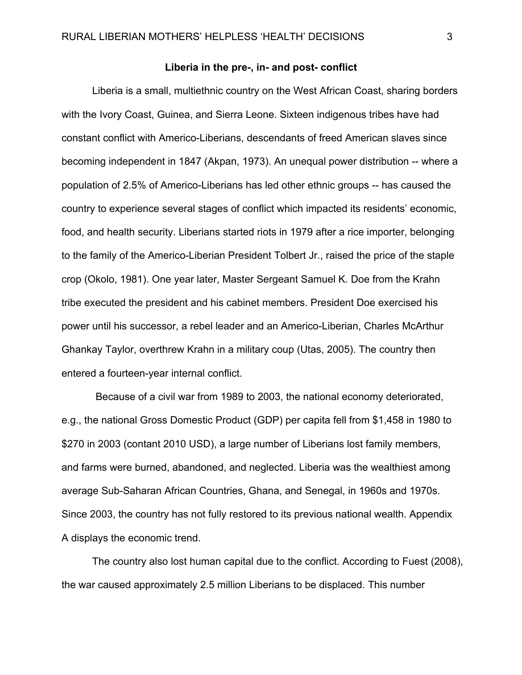#### **Liberia in the pre-, in- and post- conflict**

Liberia is a small, multiethnic country on the West African Coast, sharing borders with the Ivory Coast, Guinea, and Sierra Leone. Sixteen indigenous tribes have had constant conflict with Americo-Liberians, descendants of freed American slaves since becoming independent in 1847 (Akpan, 1973). An unequal power distribution -- where a population of 2.5% of Americo-Liberians has led other ethnic groups -- has caused the country to experience several stages of conflict which impacted its residents' economic, food, and health security. Liberians started riots in 1979 after a rice importer, belonging to the family of the Americo-Liberian President Tolbert Jr., raised the price of the staple crop (Okolo, 1981). One year later, Master Sergeant Samuel K. Doe from the Krahn tribe executed the president and his cabinet members. President Doe exercised his power until his successor, a rebel leader and an Americo-Liberian, Charles McArthur Ghankay Taylor, overthrew Krahn in a military coup (Utas, 2005). The country then entered a fourteen-year internal conflict.

 Because of a civil war from 1989 to 2003, the national economy deteriorated, e.g., the national Gross Domestic Product (GDP) per capita fell from \$1,458 in 1980 to \$270 in 2003 (contant 2010 USD), a large number of Liberians lost family members, and farms were burned, abandoned, and neglected. Liberia was the wealthiest among average Sub-Saharan African Countries, Ghana, and Senegal, in 1960s and 1970s. Since 2003, the country has not fully restored to its previous national wealth. Appendix A displays the economic trend.

The country also lost human capital due to the conflict. According to Fuest (2008), the war caused approximately 2.5 million Liberians to be displaced. This number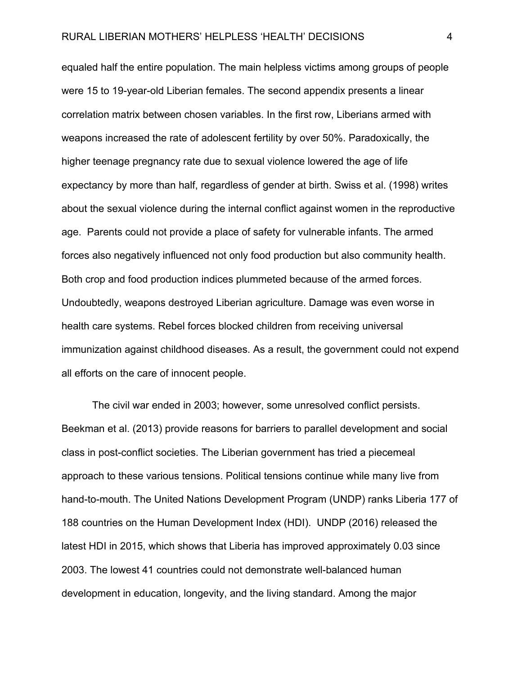equaled half the entire population. The main helpless victims among groups of people were 15 to 19-year-old Liberian females. The second appendix presents a linear correlation matrix between chosen variables. In the first row, Liberians armed with weapons increased the rate of adolescent fertility by over 50%. Paradoxically, the higher teenage pregnancy rate due to sexual violence lowered the age of life expectancy by more than half, regardless of gender at birth. Swiss et al. (1998) writes about the sexual violence during the internal conflict against women in the reproductive age. Parents could not provide a place of safety for vulnerable infants. The armed forces also negatively influenced not only food production but also community health. Both crop and food production indices plummeted because of the armed forces. Undoubtedly, weapons destroyed Liberian agriculture. Damage was even worse in health care systems. Rebel forces blocked children from receiving universal immunization against childhood diseases. As a result, the government could not expend all efforts on the care of innocent people.

The civil war ended in 2003; however, some unresolved conflict persists. Beekman et al. (2013) provide reasons for barriers to parallel development and social class in post-conflict societies. The Liberian government has tried a piecemeal approach to these various tensions. Political tensions continue while many live from hand-to-mouth. The United Nations Development Program (UNDP) ranks Liberia 177 of 188 countries on the Human Development Index (HDI). UNDP (2016) released the latest HDI in 2015, which shows that Liberia has improved approximately 0.03 since 2003. The lowest 41 countries could not demonstrate well-balanced human development in education, longevity, and the living standard. Among the major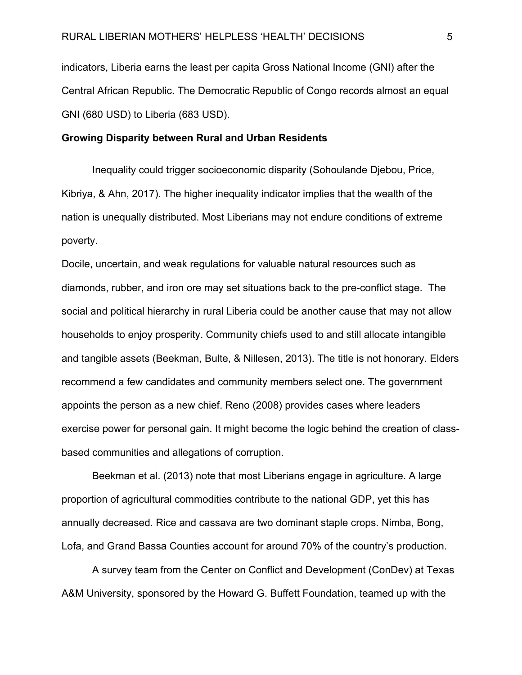indicators, Liberia earns the least per capita Gross National Income (GNI) after the Central African Republic. The Democratic Republic of Congo records almost an equal GNI (680 USD) to Liberia (683 USD).

#### **Growing Disparity between Rural and Urban Residents**

Inequality could trigger socioeconomic disparity (Sohoulande Djebou, Price, Kibriya, & Ahn, 2017). The higher inequality indicator implies that the wealth of the nation is unequally distributed. Most Liberians may not endure conditions of extreme poverty.

Docile, uncertain, and weak regulations for valuable natural resources such as diamonds, rubber, and iron ore may set situations back to the pre-conflict stage. The social and political hierarchy in rural Liberia could be another cause that may not allow households to enjoy prosperity. Community chiefs used to and still allocate intangible and tangible assets (Beekman, Bulte, & Nillesen, 2013). The title is not honorary. Elders recommend a few candidates and community members select one. The government appoints the person as a new chief. Reno (2008) provides cases where leaders exercise power for personal gain. It might become the logic behind the creation of classbased communities and allegations of corruption.

Beekman et al. (2013) note that most Liberians engage in agriculture. A large proportion of agricultural commodities contribute to the national GDP, yet this has annually decreased. Rice and cassava are two dominant staple crops. Nimba, Bong, Lofa, and Grand Bassa Counties account for around 70% of the country's production.

A survey team from the Center on Conflict and Development (ConDev) at Texas A&M University, sponsored by the Howard G. Buffett Foundation, teamed up with the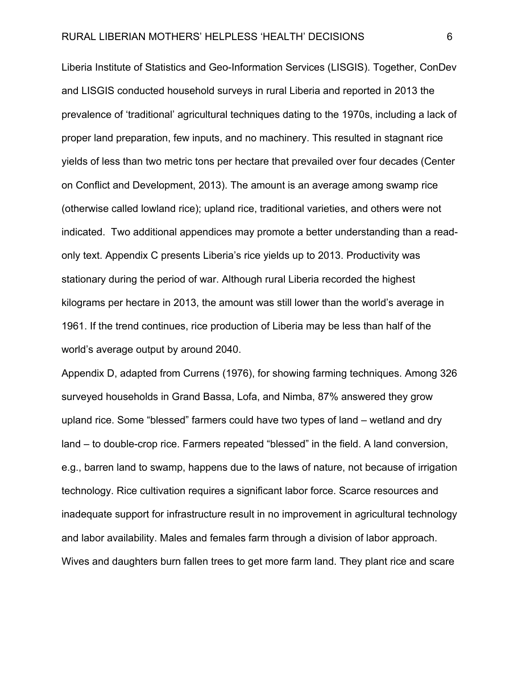Liberia Institute of Statistics and Geo-Information Services (LISGIS). Together, ConDev and LISGIS conducted household surveys in rural Liberia and reported in 2013 the prevalence of 'traditional' agricultural techniques dating to the 1970s, including a lack of proper land preparation, few inputs, and no machinery. This resulted in stagnant rice yields of less than two metric tons per hectare that prevailed over four decades (Center on Conflict and Development, 2013). The amount is an average among swamp rice (otherwise called lowland rice); upland rice, traditional varieties, and others were not indicated. Two additional appendices may promote a better understanding than a readonly text. Appendix C presents Liberia's rice yields up to 2013. Productivity was stationary during the period of war. Although rural Liberia recorded the highest kilograms per hectare in 2013, the amount was still lower than the world's average in 1961. If the trend continues, rice production of Liberia may be less than half of the world's average output by around 2040.

Appendix D, adapted from Currens (1976), for showing farming techniques. Among 326 surveyed households in Grand Bassa, Lofa, and Nimba, 87% answered they grow upland rice. Some "blessed" farmers could have two types of land – wetland and dry land – to double-crop rice. Farmers repeated "blessed" in the field. A land conversion, e.g., barren land to swamp, happens due to the laws of nature, not because of irrigation technology. Rice cultivation requires a significant labor force. Scarce resources and inadequate support for infrastructure result in no improvement in agricultural technology and labor availability. Males and females farm through a division of labor approach. Wives and daughters burn fallen trees to get more farm land. They plant rice and scare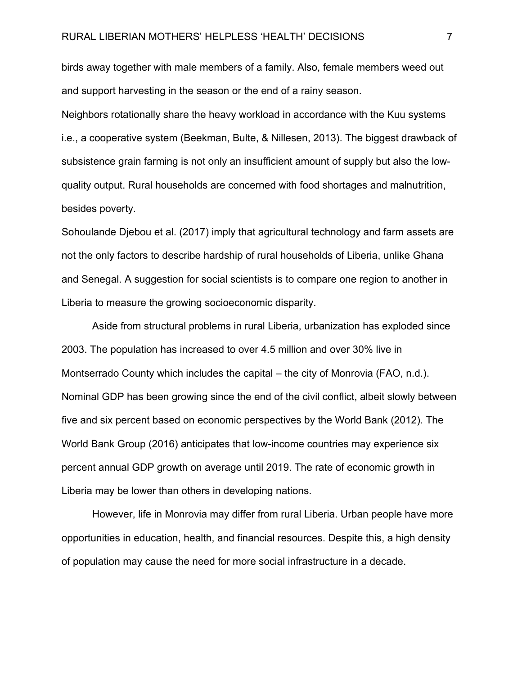birds away together with male members of a family. Also, female members weed out and support harvesting in the season or the end of a rainy season.

Neighbors rotationally share the heavy workload in accordance with the Kuu systems i.e., a cooperative system (Beekman, Bulte, & Nillesen, 2013). The biggest drawback of subsistence grain farming is not only an insufficient amount of supply but also the lowquality output. Rural households are concerned with food shortages and malnutrition, besides poverty.

Sohoulande Djebou et al. (2017) imply that agricultural technology and farm assets are not the only factors to describe hardship of rural households of Liberia, unlike Ghana and Senegal. A suggestion for social scientists is to compare one region to another in Liberia to measure the growing socioeconomic disparity.

 Aside from structural problems in rural Liberia, urbanization has exploded since 2003. The population has increased to over 4.5 million and over 30% live in Montserrado County which includes the capital – the city of Monrovia (FAO, n.d.). Nominal GDP has been growing since the end of the civil conflict, albeit slowly between five and six percent based on economic perspectives by the World Bank (2012). The World Bank Group (2016) anticipates that low-income countries may experience six percent annual GDP growth on average until 2019. The rate of economic growth in Liberia may be lower than others in developing nations.

 However, life in Monrovia may differ from rural Liberia. Urban people have more opportunities in education, health, and financial resources. Despite this, a high density of population may cause the need for more social infrastructure in a decade.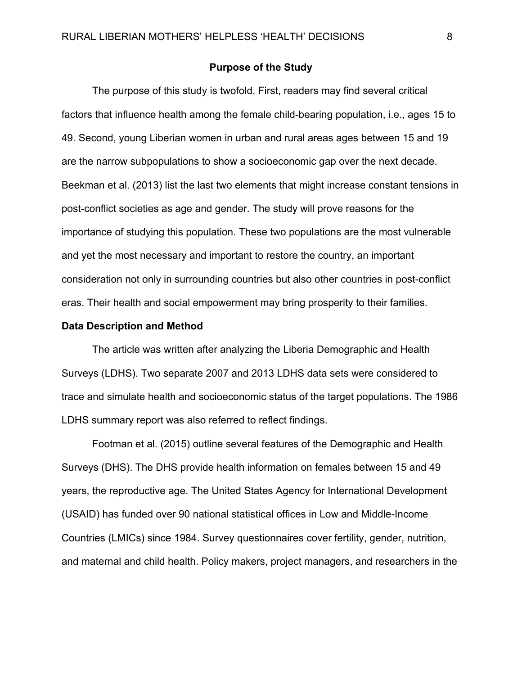### **Purpose of the Study**

The purpose of this study is twofold. First, readers may find several critical factors that influence health among the female child-bearing population, i.e., ages 15 to 49. Second, young Liberian women in urban and rural areas ages between 15 and 19 are the narrow subpopulations to show a socioeconomic gap over the next decade. Beekman et al. (2013) list the last two elements that might increase constant tensions in post-conflict societies as age and gender. The study will prove reasons for the importance of studying this population. These two populations are the most vulnerable and yet the most necessary and important to restore the country, an important consideration not only in surrounding countries but also other countries in post-conflict eras. Their health and social empowerment may bring prosperity to their families.

#### **Data Description and Method**

The article was written after analyzing the Liberia Demographic and Health Surveys (LDHS). Two separate 2007 and 2013 LDHS data sets were considered to trace and simulate health and socioeconomic status of the target populations. The 1986 LDHS summary report was also referred to reflect findings.

Footman et al. (2015) outline several features of the Demographic and Health Surveys (DHS). The DHS provide health information on females between 15 and 49 years, the reproductive age. The United States Agency for International Development (USAID) has funded over 90 national statistical offices in Low and Middle-Income Countries (LMICs) since 1984. Survey questionnaires cover fertility, gender, nutrition, and maternal and child health. Policy makers, project managers, and researchers in the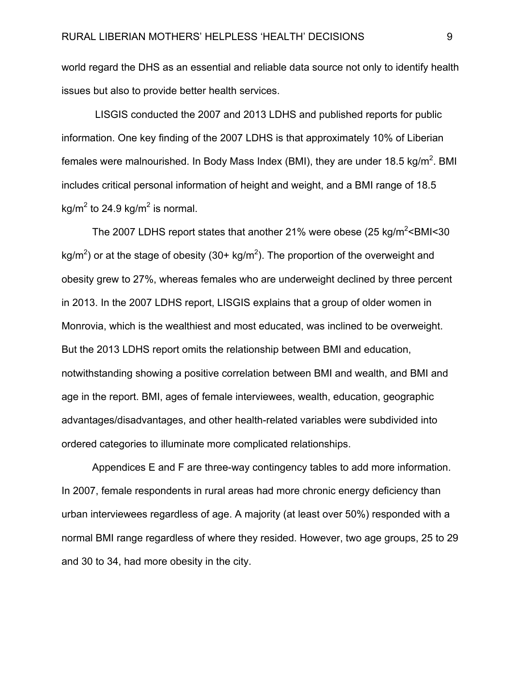world regard the DHS as an essential and reliable data source not only to identify health issues but also to provide better health services.

 LISGIS conducted the 2007 and 2013 LDHS and published reports for public information. One key finding of the 2007 LDHS is that approximately 10% of Liberian females were malnourished. In Body Mass Index (BMI), they are under 18.5 kg/m<sup>2</sup>. BMI includes critical personal information of height and weight, and a BMI range of 18.5 kg/m<sup>2</sup> to 24.9 kg/m<sup>2</sup> is normal.

The 2007 LDHS report states that another 21% were obese (25 kg/m<sup>2</sup> < BMI < 30 kg/m<sup>2</sup>) or at the stage of obesity (30+ kg/m<sup>2</sup>). The proportion of the overweight and obesity grew to 27%, whereas females who are underweight declined by three percent in 2013. In the 2007 LDHS report, LISGIS explains that a group of older women in Monrovia, which is the wealthiest and most educated, was inclined to be overweight. But the 2013 LDHS report omits the relationship between BMI and education, notwithstanding showing a positive correlation between BMI and wealth, and BMI and age in the report. BMI, ages of female interviewees, wealth, education, geographic advantages/disadvantages, and other health-related variables were subdivided into ordered categories to illuminate more complicated relationships.

Appendices E and F are three-way contingency tables to add more information. In 2007, female respondents in rural areas had more chronic energy deficiency than urban interviewees regardless of age. A majority (at least over 50%) responded with a normal BMI range regardless of where they resided. However, two age groups, 25 to 29 and 30 to 34, had more obesity in the city.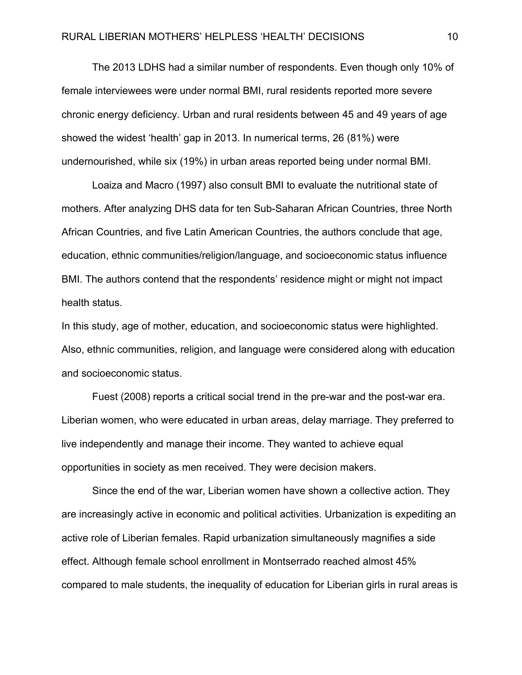The 2013 LDHS had a similar number of respondents. Even though only 10% of female interviewees were under normal BMI, rural residents reported more severe chronic energy deficiency. Urban and rural residents between 45 and 49 years of age showed the widest 'health' gap in 2013. In numerical terms, 26 (81%) were undernourished, while six (19%) in urban areas reported being under normal BMI.

Loaiza and Macro (1997) also consult BMI to evaluate the nutritional state of mothers. After analyzing DHS data for ten Sub-Saharan African Countries, three North African Countries, and five Latin American Countries, the authors conclude that age, education, ethnic communities/religion/language, and socioeconomic status influence BMI. The authors contend that the respondents' residence might or might not impact health status.

In this study, age of mother, education, and socioeconomic status were highlighted. Also, ethnic communities, religion, and language were considered along with education and socioeconomic status.

Fuest (2008) reports a critical social trend in the pre-war and the post-war era. Liberian women, who were educated in urban areas, delay marriage. They preferred to live independently and manage their income. They wanted to achieve equal opportunities in society as men received. They were decision makers.

Since the end of the war, Liberian women have shown a collective action. They are increasingly active in economic and political activities. Urbanization is expediting an active role of Liberian females. Rapid urbanization simultaneously magnifies a side effect. Although female school enrollment in Montserrado reached almost 45% compared to male students, the inequality of education for Liberian girls in rural areas is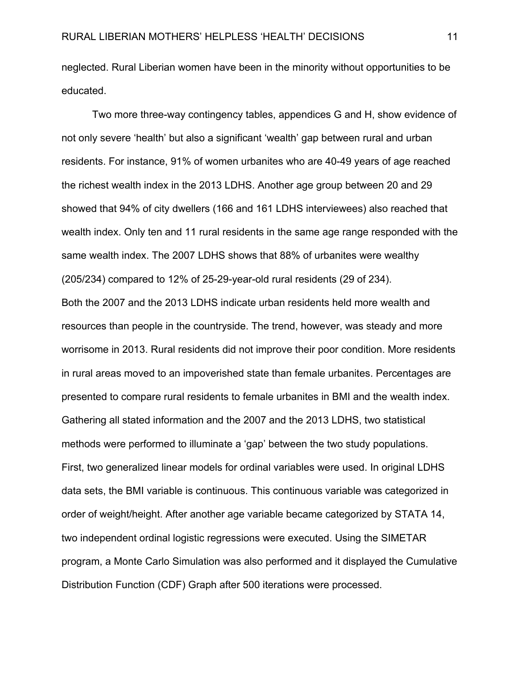neglected. Rural Liberian women have been in the minority without opportunities to be educated.

Two more three-way contingency tables, appendices G and H, show evidence of not only severe 'health' but also a significant 'wealth' gap between rural and urban residents. For instance, 91% of women urbanites who are 40-49 years of age reached the richest wealth index in the 2013 LDHS. Another age group between 20 and 29 showed that 94% of city dwellers (166 and 161 LDHS interviewees) also reached that wealth index. Only ten and 11 rural residents in the same age range responded with the same wealth index. The 2007 LDHS shows that 88% of urbanites were wealthy (205/234) compared to 12% of 25-29-year-old rural residents (29 of 234). Both the 2007 and the 2013 LDHS indicate urban residents held more wealth and resources than people in the countryside. The trend, however, was steady and more worrisome in 2013. Rural residents did not improve their poor condition. More residents in rural areas moved to an impoverished state than female urbanites. Percentages are presented to compare rural residents to female urbanites in BMI and the wealth index. Gathering all stated information and the 2007 and the 2013 LDHS, two statistical methods were performed to illuminate a 'gap' between the two study populations. First, two generalized linear models for ordinal variables were used. In original LDHS data sets, the BMI variable is continuous. This continuous variable was categorized in order of weight/height. After another age variable became categorized by STATA 14, two independent ordinal logistic regressions were executed. Using the SIMETAR program, a Monte Carlo Simulation was also performed and it displayed the Cumulative Distribution Function (CDF) Graph after 500 iterations were processed.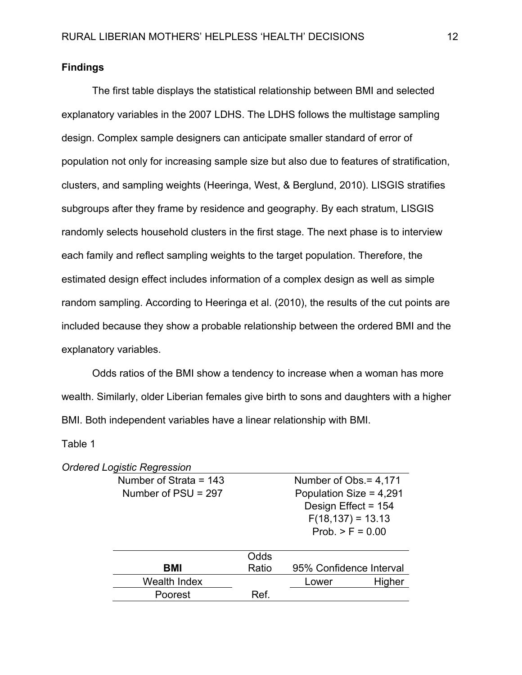### **Findings**

The first table displays the statistical relationship between BMI and selected explanatory variables in the 2007 LDHS. The LDHS follows the multistage sampling design. Complex sample designers can anticipate smaller standard of error of population not only for increasing sample size but also due to features of stratification, clusters, and sampling weights (Heeringa, West, & Berglund, 2010). LISGIS stratifies subgroups after they frame by residence and geography. By each stratum, LISGIS randomly selects household clusters in the first stage. The next phase is to interview each family and reflect sampling weights to the target population. Therefore, the estimated design effect includes information of a complex design as well as simple random sampling. According to Heeringa et al. (2010), the results of the cut points are included because they show a probable relationship between the ordered BMI and the explanatory variables.

Odds ratios of the BMI show a tendency to increase when a woman has more wealth. Similarly, older Liberian females give birth to sons and daughters with a higher BMI. Both independent variables have a linear relationship with BMI.

Table 1

|  |  |  | <b>Ordered Logistic Regression</b> |
|--|--|--|------------------------------------|
|--|--|--|------------------------------------|

| Number of Strata = $143$ |                     | Number of Obs. = 4,171  |        |
|--------------------------|---------------------|-------------------------|--------|
| Number of $PSU = 297$    |                     | Population Size = 4,291 |        |
|                          | Design Effect = 154 |                         |        |
|                          |                     | $F(18, 137) = 13.13$    |        |
|                          |                     | Prob. $>$ F = 0.00      |        |
|                          |                     |                         |        |
|                          | Odds                |                         |        |
| BMI                      | Ratio               | 95% Confidence Interval |        |
| <b>Wealth Index</b>      |                     | Lower                   | Higher |
| Poorest                  | Ref.                |                         |        |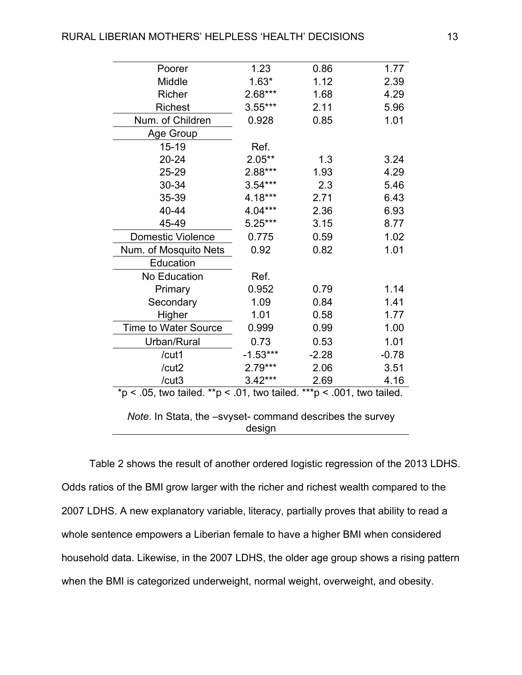| Poorer                                                                | 1.23       | 0.86    | 1.77    |  |  |  |
|-----------------------------------------------------------------------|------------|---------|---------|--|--|--|
| Middle                                                                | $1.63*$    | 1.12    | 2.39    |  |  |  |
| <b>Richer</b>                                                         | $2.68***$  | 1.68    | 4.29    |  |  |  |
| <b>Richest</b>                                                        | $3.55***$  | 2.11    | 5.96    |  |  |  |
| Num. of Children                                                      | 0.928      | 0.85    | 1.01    |  |  |  |
| Age Group                                                             |            |         |         |  |  |  |
| 15-19                                                                 | Ref.       |         |         |  |  |  |
| 20-24                                                                 | $2.05***$  | 1.3     | 3.24    |  |  |  |
| 25-29                                                                 | 2.88***    | 1.93    | 4.29    |  |  |  |
| 30-34                                                                 | $3.54***$  | 2.3     | 5.46    |  |  |  |
| 35-39                                                                 | 4.18***    | 2.71    | 6.43    |  |  |  |
| 40-44                                                                 | $4.04***$  | 2.36    | 6.93    |  |  |  |
| 45-49                                                                 | $5.25***$  | 3.15    | 8.77    |  |  |  |
| <b>Domestic Violence</b>                                              | 0.775      | 0.59    | 1.02    |  |  |  |
| Num. of Mosquito Nets                                                 | 0.92       | 0.82    | 1.01    |  |  |  |
| Education                                                             |            |         |         |  |  |  |
| No Education                                                          | Ref.       |         |         |  |  |  |
| Primary                                                               | 0.952      | 0.79    | 1.14    |  |  |  |
| Secondary                                                             | 1.09       | 0.84    | 1.41    |  |  |  |
| Higher                                                                | 1.01       | 0.58    | 1.77    |  |  |  |
| Time to Water Source                                                  | 0.999      | 0.99    | 1.00    |  |  |  |
| Urban/Rural                                                           | 0.73       | 0.53    | 1.01    |  |  |  |
| /cut1                                                                 | $-1.53***$ | $-2.28$ | $-0.78$ |  |  |  |
| /cut2                                                                 | $2.79***$  | 2.06    | 3.51    |  |  |  |
| /cut3                                                                 | $3.42***$  | 2.69    | 4.16    |  |  |  |
| *p < .05, two tailed. **p < .01, two tailed. ***p < .001, two tailed. |            |         |         |  |  |  |
| Note. In Stata, the -svyset- command describes the survey             |            |         |         |  |  |  |
|                                                                       | design     |         |         |  |  |  |

Table 2 shows the result of another ordered logistic regression of the 2013 LDHS. Odds ratios of the BMI grow larger with the richer and richest wealth compared to the 2007 LDHS. A new explanatory variable, literacy, partially proves that ability to read a whole sentence empowers a Liberian female to have a higher BMI when considered household data. Likewise, in the 2007 LDHS, the older age group shows a rising pattern when the BMI is categorized underweight, normal weight, overweight, and obesity.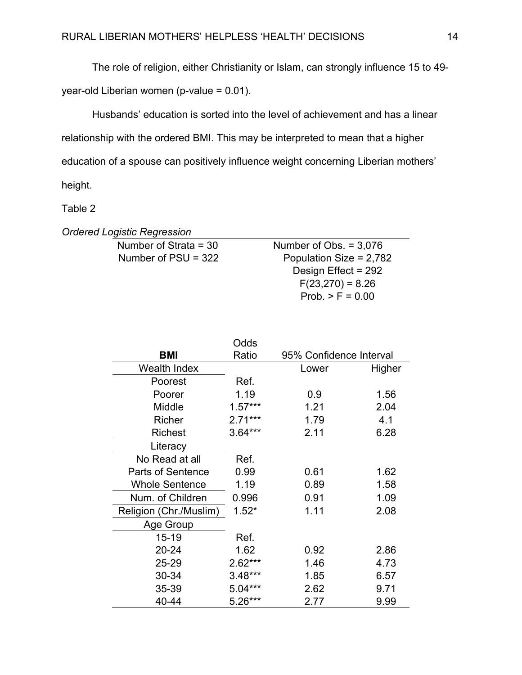The role of religion, either Christianity or Islam, can strongly influence 15 to 49-

year-old Liberian women (p-value = 0.01).

Husbands' education is sorted into the level of achievement and has a linear relationship with the ordered BMI. This may be interpreted to mean that a higher education of a spouse can positively influence weight concerning Liberian mothers' height.

Table 2

*Ordered Logistic Regression* 

Number of Strata = 30 Number of Obs. = 3,076 Number of  $PSU = 322$  Population Size = 2,782 Design Effect = 292  $F(23,270) = 8.26$ Prob.  $>$  F = 0.00

| Odds                     |           |                         |        |  |
|--------------------------|-----------|-------------------------|--------|--|
| <b>BMI</b>               | Ratio     | 95% Confidence Interval |        |  |
| Wealth Index             |           | Lower                   | Higher |  |
| Poorest                  | Ref.      |                         |        |  |
| Poorer                   | 1.19      | 0.9                     | 1.56   |  |
| Middle                   | $1.57***$ | 1.21                    | 2.04   |  |
| Richer                   | $2.71***$ | 1.79                    | 4.1    |  |
| <b>Richest</b>           | $3.64***$ | 2.11                    | 6.28   |  |
| Literacy                 |           |                         |        |  |
| No Read at all           | Ref.      |                         |        |  |
| <b>Parts of Sentence</b> | 0.99      | 0.61                    | 1.62   |  |
| <b>Whole Sentence</b>    | 1.19      | 0.89                    | 1.58   |  |
| Num. of Children         | 0.996     | 0.91                    | 1.09   |  |
| Religion (Chr./Muslim)   | $1.52*$   | 1.11                    | 2.08   |  |
| Age Group                |           |                         |        |  |
| 15-19                    | Ref.      |                         |        |  |
| 20-24                    | 1.62      | 0.92                    | 2.86   |  |
| 25-29                    | $2.62***$ | 1.46                    | 4.73   |  |
| 30-34                    | $3.48***$ | 1.85                    | 6.57   |  |
| 35-39                    | $5.04***$ | 2.62                    | 9.71   |  |
| 40-44                    | $5.26***$ | 2.77                    | 9.99   |  |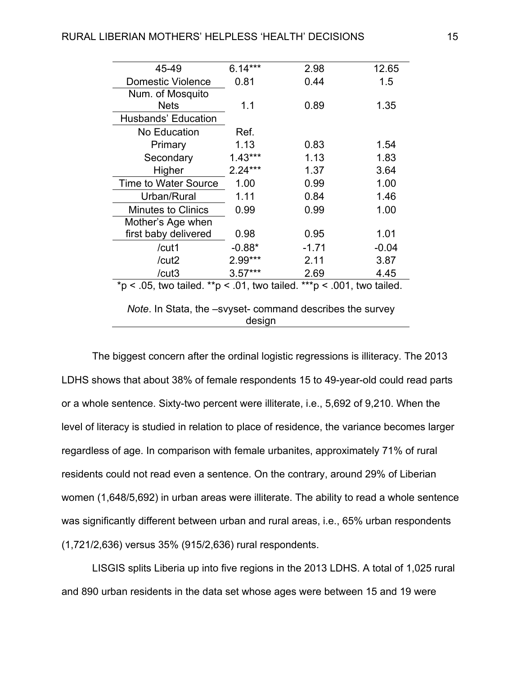| 45-49                                                                 | $6.14***$ | 2.98    | 12.65   |  |  |
|-----------------------------------------------------------------------|-----------|---------|---------|--|--|
| <b>Domestic Violence</b>                                              | 0.81      | 0.44    | 1.5     |  |  |
| Num. of Mosquito                                                      |           |         |         |  |  |
| <b>Nets</b>                                                           | 1.1       | 0.89    | 1.35    |  |  |
| <b>Husbands' Education</b>                                            |           |         |         |  |  |
| No Education                                                          | Ref.      |         |         |  |  |
| Primary                                                               | 1.13      | 0.83    | 1.54    |  |  |
| Secondary                                                             | $1.43***$ | 1.13    | 1.83    |  |  |
| Higher                                                                | $2.24***$ | 1.37    | 3.64    |  |  |
| <b>Time to Water Source</b>                                           | 1.00      | 0.99    | 1.00    |  |  |
| Urban/Rural                                                           | 1.11      | 0.84    | 1.46    |  |  |
| <b>Minutes to Clinics</b>                                             | 0.99      | 0.99    | 1.00    |  |  |
| Mother's Age when                                                     |           |         |         |  |  |
| first baby delivered                                                  | 0.98      | 0.95    | 1.01    |  |  |
| /cut1                                                                 | $-0.88*$  | $-1.71$ | $-0.04$ |  |  |
| /cut2                                                                 | 2.99***   | 2.11    | 3.87    |  |  |
| /cut3                                                                 | $3.57***$ | 2.69    | 4.45    |  |  |
| *p < .05, two tailed. **p < .01, two tailed. ***p < .001, two tailed. |           |         |         |  |  |
| Note. In Stata, the -svyset- command describes the survey<br>design   |           |         |         |  |  |

The biggest concern after the ordinal logistic regressions is illiteracy. The 2013 LDHS shows that about 38% of female respondents 15 to 49-year-old could read parts or a whole sentence. Sixty-two percent were illiterate, i.e., 5,692 of 9,210. When the level of literacy is studied in relation to place of residence, the variance becomes larger regardless of age. In comparison with female urbanites, approximately 71% of rural residents could not read even a sentence. On the contrary, around 29% of Liberian women (1,648/5,692) in urban areas were illiterate. The ability to read a whole sentence was significantly different between urban and rural areas, i.e., 65% urban respondents (1,721/2,636) versus 35% (915/2,636) rural respondents.

LISGIS splits Liberia up into five regions in the 2013 LDHS. A total of 1,025 rural and 890 urban residents in the data set whose ages were between 15 and 19 were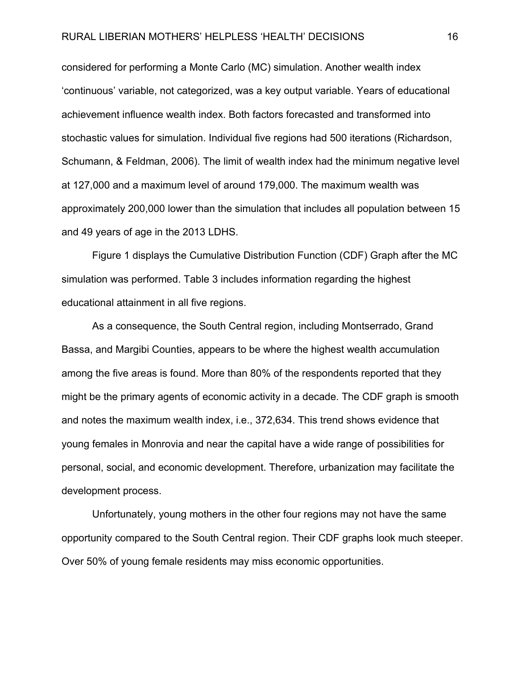### RURAL LIBERIAN MOTHERS' HELPLESS 'HEALTH' DECISIONS 16

considered for performing a Monte Carlo (MC) simulation. Another wealth index 'continuous' variable, not categorized, was a key output variable. Years of educational achievement influence wealth index. Both factors forecasted and transformed into stochastic values for simulation. Individual five regions had 500 iterations (Richardson, Schumann, & Feldman, 2006). The limit of wealth index had the minimum negative level at 127,000 and a maximum level of around 179,000. The maximum wealth was approximately 200,000 lower than the simulation that includes all population between 15 and 49 years of age in the 2013 LDHS.

Figure 1 displays the Cumulative Distribution Function (CDF) Graph after the MC simulation was performed. Table 3 includes information regarding the highest educational attainment in all five regions.

As a consequence, the South Central region, including Montserrado, Grand Bassa, and Margibi Counties, appears to be where the highest wealth accumulation among the five areas is found. More than 80% of the respondents reported that they might be the primary agents of economic activity in a decade. The CDF graph is smooth and notes the maximum wealth index, i.e., 372,634. This trend shows evidence that young females in Monrovia and near the capital have a wide range of possibilities for personal, social, and economic development. Therefore, urbanization may facilitate the development process.

Unfortunately, young mothers in the other four regions may not have the same opportunity compared to the South Central region. Their CDF graphs look much steeper. Over 50% of young female residents may miss economic opportunities.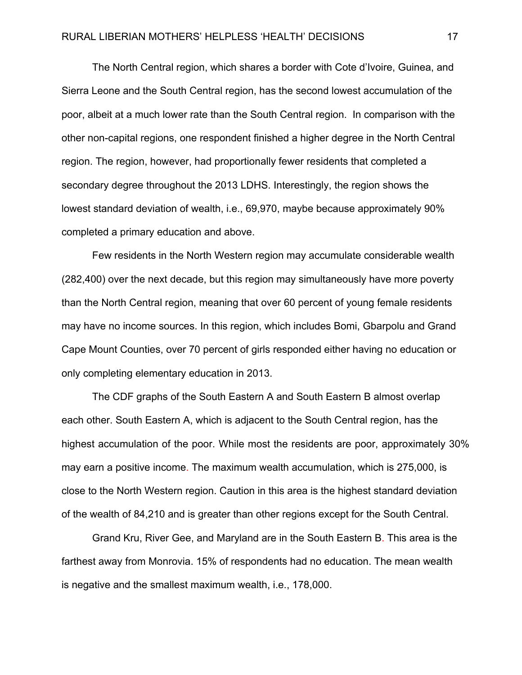The North Central region, which shares a border with Cote d'Ivoire, Guinea, and Sierra Leone and the South Central region, has the second lowest accumulation of the poor, albeit at a much lower rate than the South Central region. In comparison with the other non-capital regions, one respondent finished a higher degree in the North Central region. The region, however, had proportionally fewer residents that completed a secondary degree throughout the 2013 LDHS. Interestingly, the region shows the lowest standard deviation of wealth, i.e., 69,970, maybe because approximately 90% completed a primary education and above.

Few residents in the North Western region may accumulate considerable wealth (282,400) over the next decade, but this region may simultaneously have more poverty than the North Central region, meaning that over 60 percent of young female residents may have no income sources. In this region, which includes Bomi, Gbarpolu and Grand Cape Mount Counties, over 70 percent of girls responded either having no education or only completing elementary education in 2013.

The CDF graphs of the South Eastern A and South Eastern B almost overlap each other. South Eastern A, which is adjacent to the South Central region, has the highest accumulation of the poor. While most the residents are poor, approximately 30% may earn a positive income. The maximum wealth accumulation, which is 275,000, is close to the North Western region. Caution in this area is the highest standard deviation of the wealth of 84,210 and is greater than other regions except for the South Central.

Grand Kru, River Gee, and Maryland are in the South Eastern B. This area is the farthest away from Monrovia. 15% of respondents had no education. The mean wealth is negative and the smallest maximum wealth, i.e., 178,000.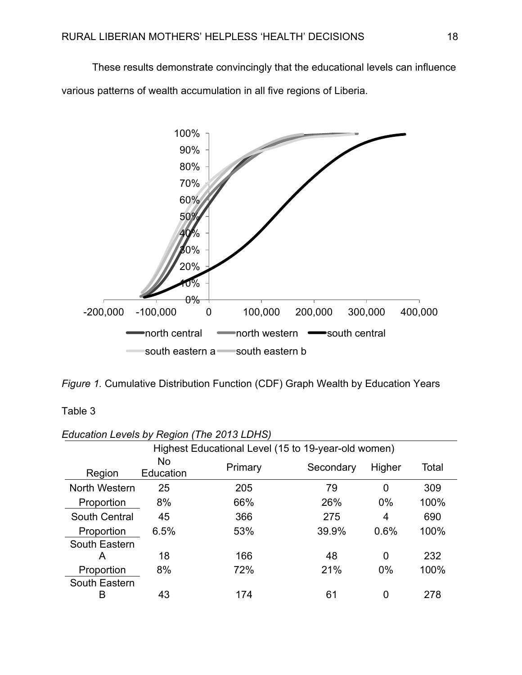These results demonstrate convincingly that the educational levels can influence various patterns of wealth accumulation in all five regions of Liberia.



Table 3

| Luucalion Levels by Region (The 2013 LDNO)                                  |                                                     |     |       |       |      |  |  |  |
|-----------------------------------------------------------------------------|-----------------------------------------------------|-----|-------|-------|------|--|--|--|
|                                                                             | Highest Educational Level (15 to 19-year-old women) |     |       |       |      |  |  |  |
| <b>No</b><br>Total<br>Primary<br>Secondary<br>Higher<br>Education<br>Region |                                                     |     |       |       |      |  |  |  |
| North Western                                                               | 25                                                  | 205 | 79    | 0     | 309  |  |  |  |
| Proportion                                                                  | 8%                                                  | 66% | 26%   | $0\%$ | 100% |  |  |  |
| <b>South Central</b>                                                        | 45                                                  | 366 | 275   | 4     | 690  |  |  |  |
| Proportion                                                                  | 6.5%                                                | 53% | 39.9% | 0.6%  | 100% |  |  |  |
| South Eastern                                                               |                                                     |     |       |       |      |  |  |  |
| А                                                                           | 18                                                  | 166 | 48    | 0     | 232  |  |  |  |
| Proportion                                                                  | 8%                                                  | 72% | 21%   | $0\%$ | 100% |  |  |  |
| South Eastern                                                               |                                                     |     |       |       |      |  |  |  |
| в                                                                           | 43                                                  | 174 | 61    | 0     | 278  |  |  |  |

*Education Levels by Region (The 2013 LDHS)*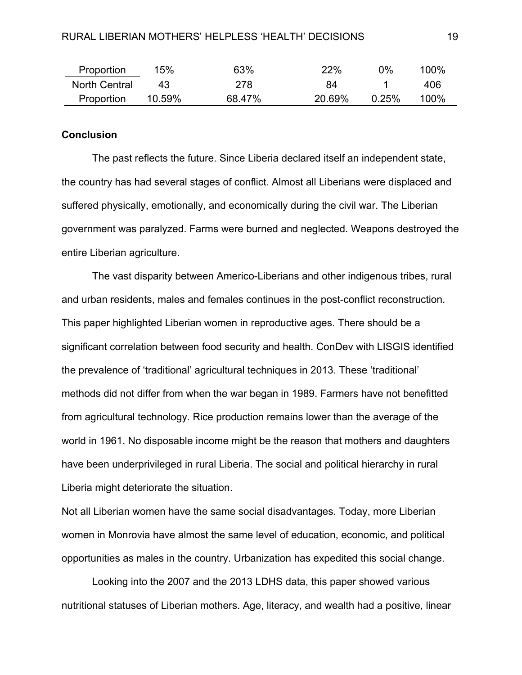| Proportion    | 15%    | 63%    | 22%    | 0%       | 100% |
|---------------|--------|--------|--------|----------|------|
| North Central | 43.    | 278    | 84     |          | 406  |
| Proportion    | 10.59% | 68.47% | 20.69% | $0.25\%$ | 100% |

### **Conclusion**

The past reflects the future. Since Liberia declared itself an independent state, the country has had several stages of conflict. Almost all Liberians were displaced and suffered physically, emotionally, and economically during the civil war. The Liberian government was paralyzed. Farms were burned and neglected. Weapons destroyed the entire Liberian agriculture.

 The vast disparity between Americo-Liberians and other indigenous tribes, rural and urban residents, males and females continues in the post-conflict reconstruction. This paper highlighted Liberian women in reproductive ages. There should be a significant correlation between food security and health. ConDev with LISGIS identified the prevalence of 'traditional' agricultural techniques in 2013. These 'traditional' methods did not differ from when the war began in 1989. Farmers have not benefitted from agricultural technology. Rice production remains lower than the average of the world in 1961. No disposable income might be the reason that mothers and daughters have been underprivileged in rural Liberia. The social and political hierarchy in rural Liberia might deteriorate the situation.

Not all Liberian women have the same social disadvantages. Today, more Liberian women in Monrovia have almost the same level of education, economic, and political opportunities as males in the country. Urbanization has expedited this social change.

 Looking into the 2007 and the 2013 LDHS data, this paper showed various nutritional statuses of Liberian mothers. Age, literacy, and wealth had a positive, linear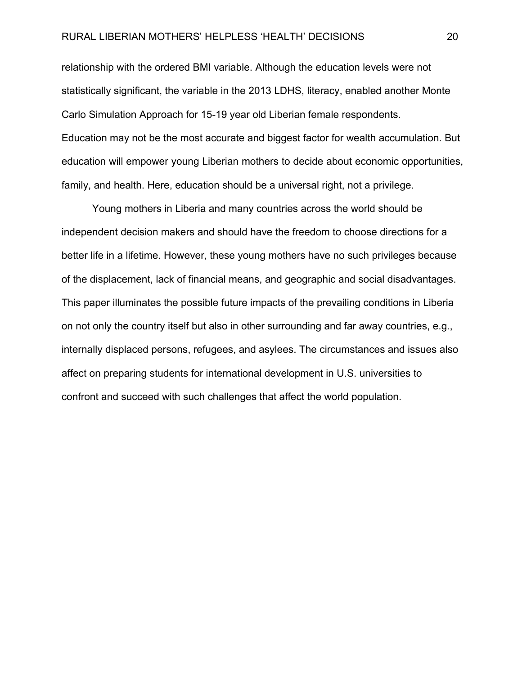### RURAL LIBERIAN MOTHERS' HELPLESS 'HEALTH' DECISIONS 20

relationship with the ordered BMI variable. Although the education levels were not statistically significant, the variable in the 2013 LDHS, literacy, enabled another Monte Carlo Simulation Approach for 15-19 year old Liberian female respondents. Education may not be the most accurate and biggest factor for wealth accumulation. But education will empower young Liberian mothers to decide about economic opportunities, family, and health. Here, education should be a universal right, not a privilege.

Young mothers in Liberia and many countries across the world should be independent decision makers and should have the freedom to choose directions for a better life in a lifetime. However, these young mothers have no such privileges because of the displacement, lack of financial means, and geographic and social disadvantages. This paper illuminates the possible future impacts of the prevailing conditions in Liberia on not only the country itself but also in other surrounding and far away countries, e.g., internally displaced persons, refugees, and asylees. The circumstances and issues also affect on preparing students for international development in U.S. universities to confront and succeed with such challenges that affect the world population.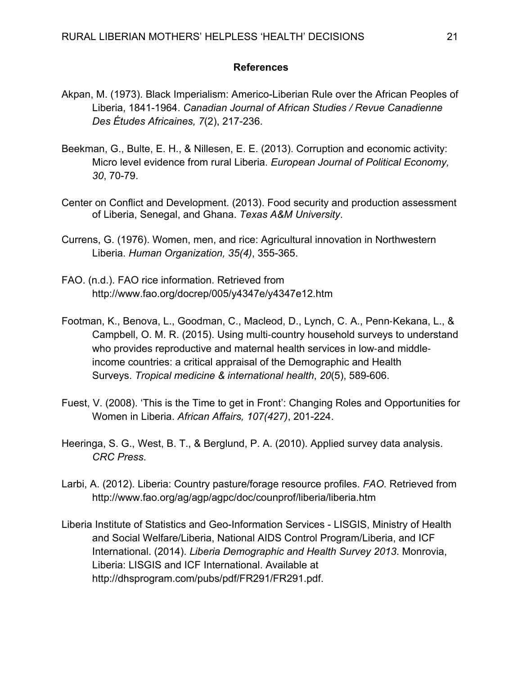### **References**

- Akpan, M. (1973). Black Imperialism: Americo-Liberian Rule over the African Peoples of Liberia, 1841-1964. *Canadian Journal of African Studies / Revue Canadienne Des Études Africaines, 7*(2), 217-236.
- Beekman, G., Bulte, E. H., & Nillesen, E. E. (2013). Corruption and economic activity: Micro level evidence from rural Liberia. *European Journal of Political Economy, 30*, 70-79.
- Center on Conflict and Development. (2013). Food security and production assessment of Liberia, Senegal, and Ghana. *Texas A&M University*.
- Currens, G. (1976). Women, men, and rice: Agricultural innovation in Northwestern Liberia. *Human Organization, 35(4)*, 355-365.
- FAO. (n.d.). FAO rice information. Retrieved from http://www.fao.org/docrep/005/y4347e/y4347e12.htm
- Footman, K., Benova, L., Goodman, C., Macleod, D., Lynch, C. A., Penn-Kekana, L., & Campbell, O. M. R. (2015). Using multi-country household surveys to understand who provides reproductive and maternal health services in low-and middleincome countries: a critical appraisal of the Demographic and Health Surveys. *Tropical medicine & international health*, *20*(5), 589-606.
- Fuest, V. (2008). 'This is the Time to get in Front': Changing Roles and Opportunities for Women in Liberia. *African Affairs, 107(427)*, 201-224.
- Heeringa, S. G., West, B. T., & Berglund, P. A. (2010). Applied survey data analysis. *CRC Press*.
- Larbi, A. (2012). Liberia: Country pasture/forage resource profiles. *FAO.* Retrieved from http://www.fao.org/ag/agp/agpc/doc/counprof/liberia/liberia.htm
- Liberia Institute of Statistics and Geo-Information Services LISGIS, Ministry of Health and Social Welfare/Liberia, National AIDS Control Program/Liberia, and ICF International. (2014). *Liberia Demographic and Health Survey 2013*. Monrovia, Liberia: LISGIS and ICF International. Available at http://dhsprogram.com/pubs/pdf/FR291/FR291.pdf.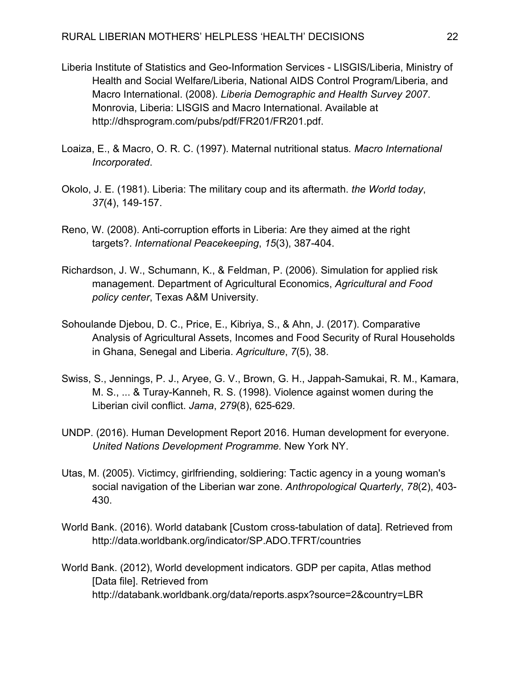- Liberia Institute of Statistics and Geo-Information Services LISGIS/Liberia, Ministry of Health and Social Welfare/Liberia, National AIDS Control Program/Liberia, and Macro International. (2008). *Liberia Demographic and Health Survey 2007*. Monrovia, Liberia: LISGIS and Macro International. Available at http://dhsprogram.com/pubs/pdf/FR201/FR201.pdf.
- Loaiza, E., & Macro, O. R. C. (1997). Maternal nutritional status*. Macro International Incorporated*.
- Okolo, J. E. (1981). Liberia: The military coup and its aftermath. *the World today*, *37*(4), 149-157.
- Reno, W. (2008). Anti-corruption efforts in Liberia: Are they aimed at the right targets?. *International Peacekeeping*, *15*(3), 387-404.
- Richardson, J. W., Schumann, K., & Feldman, P. (2006). Simulation for applied risk management. Department of Agricultural Economics, *Agricultural and Food policy center*, Texas A&M University.
- Sohoulande Djebou, D. C., Price, E., Kibriya, S., & Ahn, J. (2017). Comparative Analysis of Agricultural Assets, Incomes and Food Security of Rural Households in Ghana, Senegal and Liberia. *Agriculture*, *7*(5), 38.
- Swiss, S., Jennings, P. J., Aryee, G. V., Brown, G. H., Jappah-Samukai, R. M., Kamara, M. S., ... & Turay-Kanneh, R. S. (1998). Violence against women during the Liberian civil conflict. *Jama*, *279*(8), 625-629.
- UNDP. (2016). Human Development Report 2016. Human development for everyone. *United Nations Development Programme.* New York NY.
- Utas, M. (2005). Victimcy, girlfriending, soldiering: Tactic agency in a young woman's social navigation of the Liberian war zone. *Anthropological Quarterly*, *78*(2), 403- 430.
- World Bank. (2016). World databank [Custom cross-tabulation of data]. Retrieved from http://data.worldbank.org/indicator/SP.ADO.TFRT/countries
- World Bank. (2012), World development indicators. GDP per capita, Atlas method [Data file]. Retrieved from http://databank.worldbank.org/data/reports.aspx?source=2&country=LBR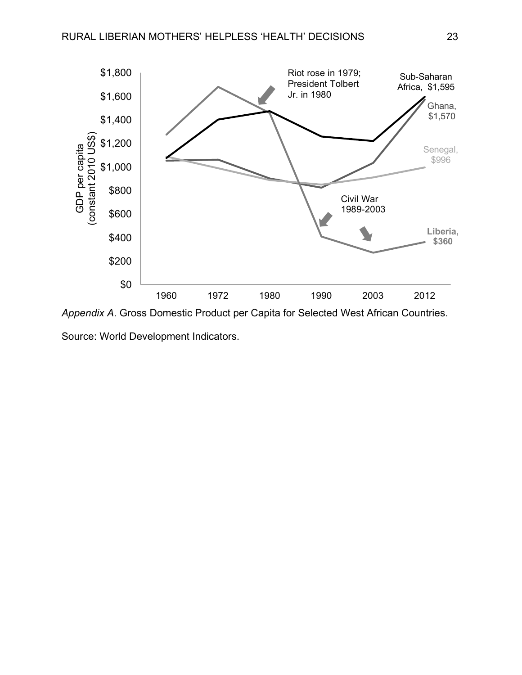

Source: World Development Indicators.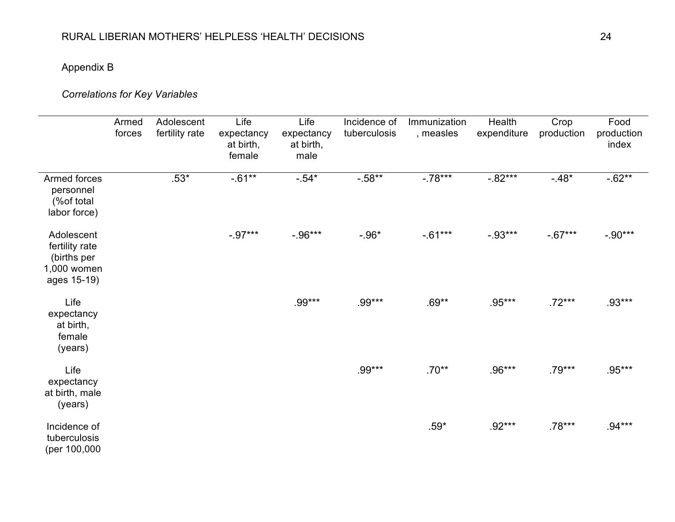# Appendix B

# *Correlations for Key Variables*

|                                                                           | Armed<br>forces | Adolescent<br>fertility rate | Life<br>expectancy<br>at birth,<br>female | Life<br>expectancy<br>at birth,<br>male | Incidence of<br>tuberculosis | Immunization<br>, measles | Health<br>expenditure | Crop<br>production | Food<br>production<br>index |
|---------------------------------------------------------------------------|-----------------|------------------------------|-------------------------------------------|-----------------------------------------|------------------------------|---------------------------|-----------------------|--------------------|-----------------------------|
| Armed forces<br>personnel<br>(%of total<br>labor force)                   |                 | $.53*$                       | $-0.61**$                                 | $-.54*$                                 | $-.58**$                     | $-.78***$                 | $-.82***$             | $-.48*$            | $-.62**$                    |
| Adolescent<br>fertility rate<br>(births per<br>1,000 women<br>ages 15-19) |                 |                              | $-0.97***$                                | $-0.96***$                              | $-.96*$                      | $-0.61***$                | $-.93***$             | $-.67***$          | $-.90***$                   |
| Life<br>expectancy<br>at birth,<br>female<br>(years)                      |                 |                              |                                           | .99***                                  | .99***                       | $.69**$                   | $.95***$              | $.72***$           | $.93***$                    |
| Life<br>expectancy<br>at birth, male<br>(years)                           |                 |                              |                                           |                                         | .99***                       | $.70**$                   | $.96***$              | $.79***$           | .95***                      |
| Incidence of<br>tuberculosis<br>(per 100,000                              |                 |                              |                                           |                                         |                              | $.59*$                    | $.92***$              | $.78***$           | $.94***$                    |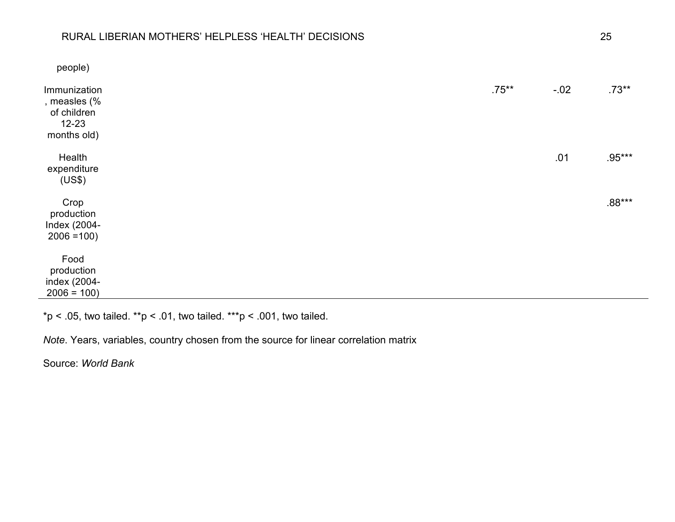### RURAL LIBERIAN MOTHERS' HELPLESS 'HEALTH' DECISIONS 25

| people)                                                                 |          |        |          |
|-------------------------------------------------------------------------|----------|--------|----------|
| Immunization<br>, measles (%<br>of children<br>$12 - 23$<br>months old) | $.75***$ | $-.02$ | $.73**$  |
| Health<br>expenditure<br>(US\$)                                         |          | .01    | $.95***$ |
| Crop<br>production<br>Index (2004-<br>$2006 = 100$                      |          |        | $.88***$ |
| Food<br>production<br>index (2004-<br>$2006 = 100$                      |          |        |          |

\*p < .05, two tailed. \*\*p < .01, two tailed. \*\*\*p < .001, two tailed.

*Note*. Years, variables, country chosen from the source for linear correlation matrix

Source: *World Bank*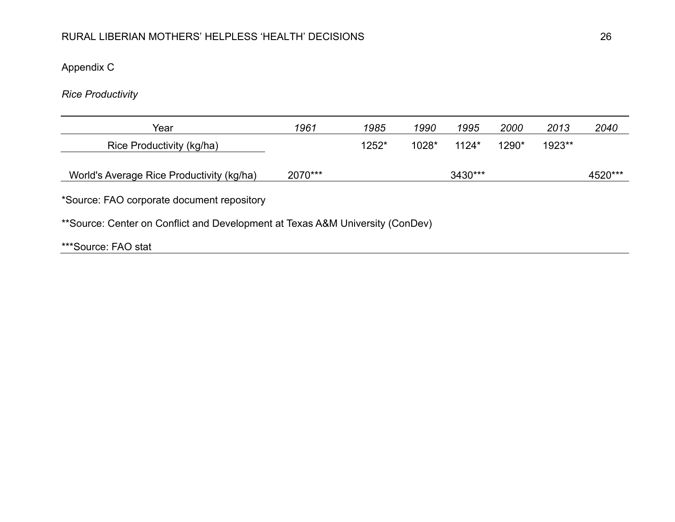Appendix C

*Rice Productivity*

| Year                                                                          | 1961    | 1985  | 1990  | 1995    | 2000  | 2013   | 2040    |  |  |
|-------------------------------------------------------------------------------|---------|-------|-------|---------|-------|--------|---------|--|--|
| Rice Productivity (kg/ha)                                                     |         | 1252* | 1028* | $1124*$ | 1290* | 1923** |         |  |  |
| World's Average Rice Productivity (kg/ha)                                     | 2070*** |       |       | 3430*** |       |        | 4520*** |  |  |
| *Source: FAO corporate document repository                                    |         |       |       |         |       |        |         |  |  |
| **Source: Center on Conflict and Development at Texas A&M University (ConDev) |         |       |       |         |       |        |         |  |  |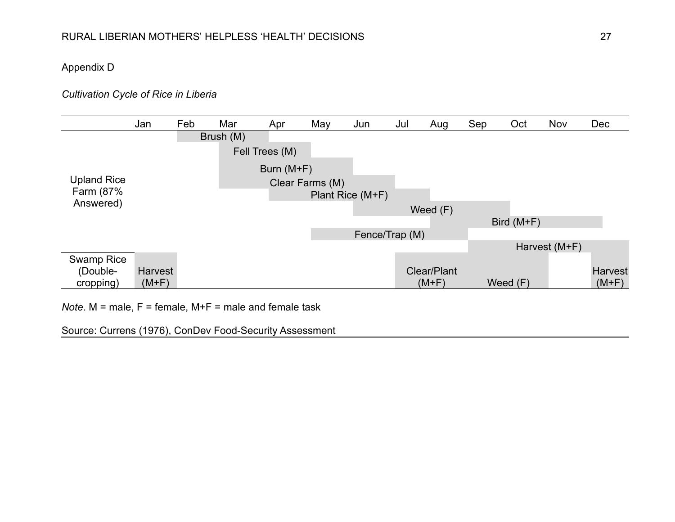## Appendix D

### *Cultivation Cycle of Rice in Liberia*

|                    | Jan            | Feb | Mar       | Apr            | May             | Jun              | Jul | Aug         | Sep | Oct          | Nov           | Dec            |
|--------------------|----------------|-----|-----------|----------------|-----------------|------------------|-----|-------------|-----|--------------|---------------|----------------|
|                    |                |     | Brush (M) |                |                 |                  |     |             |     |              |               |                |
|                    |                |     |           | Fell Trees (M) |                 |                  |     |             |     |              |               |                |
|                    |                |     |           | Burn $(M+F)$   |                 |                  |     |             |     |              |               |                |
| <b>Upland Rice</b> |                |     |           |                | Clear Farms (M) |                  |     |             |     |              |               |                |
| Farm (87%          |                |     |           |                |                 | Plant Rice (M+F) |     |             |     |              |               |                |
| Answered)          |                |     |           |                |                 |                  |     | Weed $(F)$  |     |              |               |                |
|                    |                |     |           |                |                 |                  |     |             |     | Bird $(M+F)$ |               |                |
|                    |                |     |           |                |                 | Fence/Trap (M)   |     |             |     |              |               |                |
|                    |                |     |           |                |                 |                  |     |             |     |              | Harvest (M+F) |                |
| Swamp Rice         |                |     |           |                |                 |                  |     |             |     |              |               |                |
| (Double-           | <b>Harvest</b> |     |           |                |                 |                  |     | Clear/Plant |     |              |               | <b>Harvest</b> |
| cropping)          | $(M+F)$        |     |           |                |                 |                  |     | $(M+F)$     |     | Weed $(F)$   |               | $(M+F)$        |

*Note*. M = male, F = female, M+F = male and female task

Source: Currens (1976), ConDev Food-Security Assessment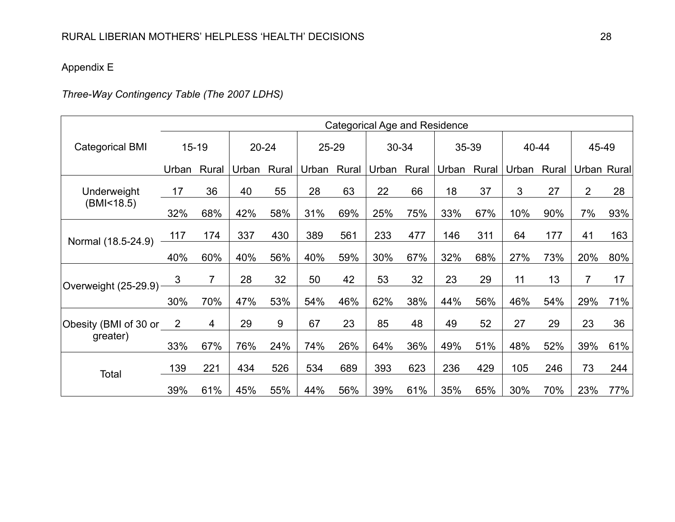## Appendix E

# *Three-Way Contingency Table (The 2007 LDHS)*

|                         | <b>Categorical Age and Residence</b> |                |           |       |       |       |       |       |       |       |       |       |                |     |
|-------------------------|--------------------------------------|----------------|-----------|-------|-------|-------|-------|-------|-------|-------|-------|-------|----------------|-----|
| <b>Categorical BMI</b>  | $15 - 19$                            |                | $20 - 24$ |       | 25-29 |       | 30-34 |       | 35-39 |       | 40-44 |       | 45-49          |     |
|                         | Urban                                | Rural          | Urban     | Rural | Urban | Rural | Urban | Rural | Urban | Rural | Urban | Rural | Urban Rural    |     |
| Underweight             | 17                                   | 36             | 40        | 55    | 28    | 63    | 22    | 66    | 18    | 37    | 3     | 27    | $\overline{2}$ | 28  |
| (BMI<18.5)              | 32%                                  | 68%            | 42%       | 58%   | 31%   | 69%   | 25%   | 75%   | 33%   | 67%   | 10%   | 90%   | 7%             | 93% |
| Normal (18.5-24.9)      | 117                                  | 174            | 337       | 430   | 389   | 561   | 233   | 477   | 146   | 311   | 64    | 177   | 41             | 163 |
|                         | 40%                                  | 60%            | 40%       | 56%   | 40%   | 59%   | 30%   | 67%   | 32%   | 68%   | 27%   | 73%   | 20%            | 80% |
| Overweight (25-29.9)    | 3                                    | $\overline{7}$ | 28        | 32    | 50    | 42    | 53    | 32    | 23    | 29    | 11    | 13    | 7              | 17  |
|                         | 30%                                  | 70%            | 47%       | 53%   | 54%   | 46%   | 62%   | 38%   | 44%   | 56%   | 46%   | 54%   | 29%            | 71% |
| Obesity (BMI of 30 or 2 |                                      | $\overline{4}$ | 29        | 9     | 67    | 23    | 85    | 48    | 49    | 52    | 27    | 29    | 23             | 36  |
| greater)                | 33%                                  | 67%            | 76%       | 24%   | 74%   | 26%   | 64%   | 36%   | 49%   | 51%   | 48%   | 52%   | 39%            | 61% |
| Total                   | 139                                  | 221            | 434       | 526   | 534   | 689   | 393   | 623   | 236   | 429   | 105   | 246   | 73             | 244 |
|                         | 39%                                  | 61%            | 45%       | 55%   | 44%   | 56%   | 39%   | 61%   | 35%   | 65%   | 30%   | 70%   | 23%            | 77% |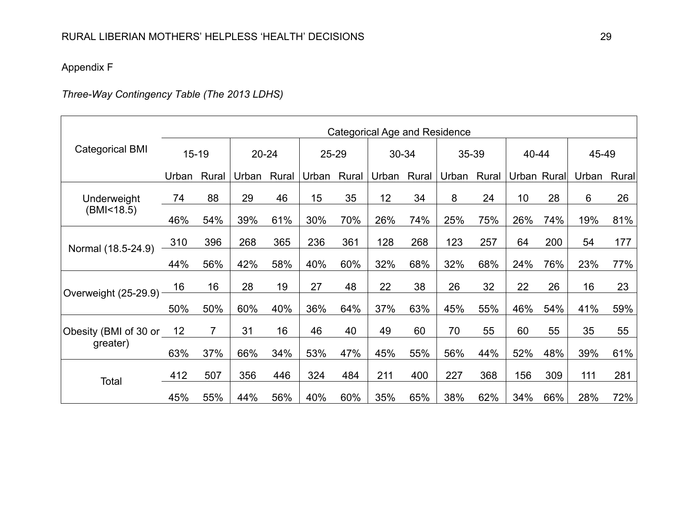## Appendix F

# *Three-Way Contingency Table (The 2013 LDHS)*

|                          | <b>Categorical Age and Residence</b> |                |           |       |       |       |       |       |       |       |             |     |       |       |
|--------------------------|--------------------------------------|----------------|-----------|-------|-------|-------|-------|-------|-------|-------|-------------|-----|-------|-------|
| <b>Categorical BMI</b>   | $15 - 19$                            |                | $20 - 24$ |       | 25-29 |       | 30-34 |       | 35-39 |       | 40-44       |     | 45-49 |       |
|                          | Urban                                | Rural          | Urban     | Rural | Urban | Rural | Urban | Rural | Urban | Rural | Urban Rural |     | Urban | Rural |
| Underweight              | 74                                   | 88             | 29        | 46    | 15    | 35    | 12    | 34    | 8     | 24    | 10          | 28  | 6     | 26    |
| (BMI < 18.5)             | 46%                                  | 54%            | 39%       | 61%   | 30%   | 70%   | 26%   | 74%   | 25%   | 75%   | 26%         | 74% | 19%   | 81%   |
| Normal (18.5-24.9)       | 310                                  | 396            | 268       | 365   | 236   | 361   | 128   | 268   | 123   | 257   | 64          | 200 | 54    | 177   |
|                          | 44%                                  | 56%            | 42%       | 58%   | 40%   | 60%   | 32%   | 68%   | 32%   | 68%   | 24%         | 76% | 23%   | 77%   |
|                          | 16                                   | 16             | 28        | 19    | 27    | 48    | 22    | 38    | 26    | 32    | 22          | 26  | 16    | 23    |
| Overweight $(25-29.9)$ – | 50%                                  | 50%            | 60%       | 40%   | 36%   | 64%   | 37%   | 63%   | 45%   | 55%   | 46%         | 54% | 41%   | 59%   |
| Obesity (BMI of 30 or    | 12                                   | $\overline{7}$ | 31        | 16    | 46    | 40    | 49    | 60    | 70    | 55    | 60          | 55  | 35    | 55    |
| greater)                 | 63%                                  | 37%            | 66%       | 34%   | 53%   | 47%   | 45%   | 55%   | 56%   | 44%   | 52%         | 48% | 39%   | 61%   |
| Total                    | 412                                  | 507            | 356       | 446   | 324   | 484   | 211   | 400   | 227   | 368   | 156         | 309 | 111   | 281   |
|                          | 45%                                  | 55%            | 44%       | 56%   | 40%   | 60%   | 35%   | 65%   | 38%   | 62%   | 34%         | 66% | 28%   | 72%   |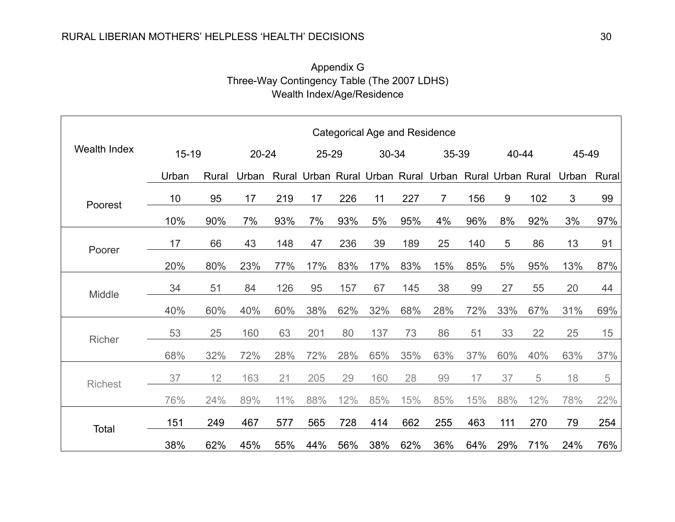### RURAL LIBERIAN MOTHERS' HELPLESS 'HEALTH' DECISIONS 30

## Appendix G Three-Way Contingency Table (The 2007 LDHS) Wealth Index/Age/Residence

|                     | <b>Categorical Age and Residence</b> |       |       |     |     |       |     |       |                                                       |       |     |       |       |       |
|---------------------|--------------------------------------|-------|-------|-----|-----|-------|-----|-------|-------------------------------------------------------|-------|-----|-------|-------|-------|
| <b>Wealth Index</b> | $15 - 19$                            |       | 20-24 |     |     | 25-29 |     | 30-34 |                                                       | 35-39 |     | 40-44 |       | 45-49 |
|                     | Urban                                | Rural | Urban |     |     |       |     |       | Rural Urban Rural Urban Rural Urban Rural Urban Rural |       |     |       | Urban | Rural |
| Poorest             | 10                                   | 95    | 17    | 219 | 17  | 226   | 11  | 227   | 7                                                     | 156   | 9   | 102   | 3     | 99    |
|                     | 10%                                  | 90%   | 7%    | 93% | 7%  | 93%   | 5%  | 95%   | 4%                                                    | 96%   | 8%  | 92%   | 3%    | 97%   |
| Poorer              | 17                                   | 66    | 43    | 148 | 47  | 236   | 39  | 189   | 25                                                    | 140   | 5   | 86    | 13    | 91    |
|                     | 20%                                  | 80%   | 23%   | 77% | 17% | 83%   | 17% | 83%   | 15%                                                   | 85%   | 5%  | 95%   | 13%   | 87%   |
| Middle              | 34                                   | 51    | 84    | 126 | 95  | 157   | 67  | 145   | 38                                                    | 99    | 27  | 55    | 20    | 44    |
|                     | 40%                                  | 60%   | 40%   | 60% | 38% | 62%   | 32% | 68%   | 28%                                                   | 72%   | 33% | 67%   | 31%   | 69%   |
| Richer              | 53                                   | 25    | 160   | 63  | 201 | 80    | 137 | 73    | 86                                                    | 51    | 33  | 22    | 25    | 15    |
|                     | 68%                                  | 32%   | 72%   | 28% | 72% | 28%   | 65% | 35%   | 63%                                                   | 37%   | 60% | 40%   | 63%   | 37%   |
| <b>Richest</b>      | 37                                   | 12    | 163   | 21  | 205 | 29    | 160 | 28    | 99                                                    | 17    | 37  | 5     | 18    | 5     |
|                     | 76%                                  | 24%   | 89%   | 11% | 88% | 12%   | 85% | 15%   | 85%                                                   | 15%   | 88% | 12%   | 78%   | 22%   |
|                     | 151                                  | 249   | 467   | 577 | 565 | 728   | 414 | 662   | 255                                                   | 463   | 111 | 270   | 79    | 254   |
| Total               | 38%                                  | 62%   | 45%   | 55% | 44% | 56%   | 38% | 62%   | 36%                                                   | 64%   | 29% | 71%   | 24%   | 76%   |